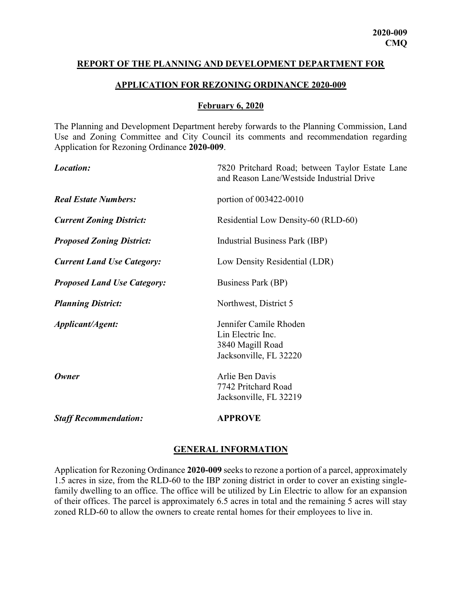#### REPORT OF THE PLANNING AND DEVELOPMENT DEPARTMENT FOR

#### APPLICATION FOR REZONING ORDINANCE 2020-009

#### February 6, 2020

The Planning and Development Department hereby forwards to the Planning Commission, Land Use and Zoning Committee and City Council its comments and recommendation regarding Application for Rezoning Ordinance 2020-009.

| Location:                          | 7820 Pritchard Road; between Taylor Estate Lane<br>and Reason Lane/Westside Industrial Drive |  |
|------------------------------------|----------------------------------------------------------------------------------------------|--|
| <b>Real Estate Numbers:</b>        | portion of 003422-0010                                                                       |  |
| <b>Current Zoning District:</b>    | Residential Low Density-60 (RLD-60)                                                          |  |
| <b>Proposed Zoning District:</b>   | Industrial Business Park (IBP)                                                               |  |
| <b>Current Land Use Category:</b>  | Low Density Residential (LDR)                                                                |  |
| <b>Proposed Land Use Category:</b> | Business Park (BP)                                                                           |  |
| <b>Planning District:</b>          | Northwest, District 5                                                                        |  |
| Applicant/Agent:                   | Jennifer Camile Rhoden<br>Lin Electric Inc.<br>3840 Magill Road<br>Jacksonville, FL 32220    |  |
| Owner                              | Arlie Ben Davis<br>7742 Pritchard Road<br>Jacksonville, FL 32219                             |  |
| <b>Staff Recommendation:</b>       | <b>APPROVE</b>                                                                               |  |

#### GENERAL INFORMATION

Application for Rezoning Ordinance 2020-009 seeks to rezone a portion of a parcel, approximately 1.5 acres in size, from the RLD-60 to the IBP zoning district in order to cover an existing singlefamily dwelling to an office. The office will be utilized by Lin Electric to allow for an expansion of their offices. The parcel is approximately 6.5 acres in total and the remaining 5 acres will stay zoned RLD-60 to allow the owners to create rental homes for their employees to live in.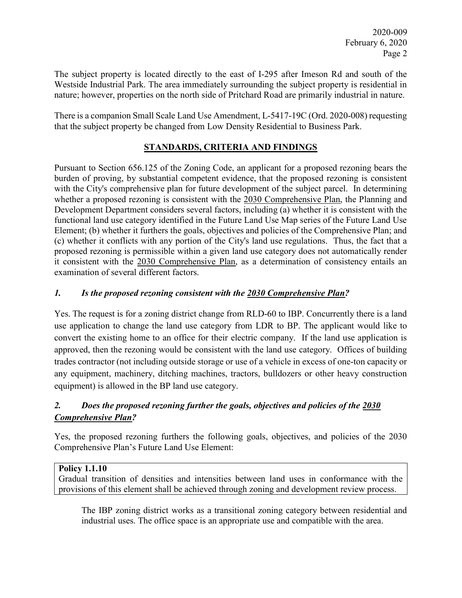The subject property is located directly to the east of I-295 after Imeson Rd and south of the Westside Industrial Park. The area immediately surrounding the subject property is residential in nature; however, properties on the north side of Pritchard Road are primarily industrial in nature.

There is a companion Small Scale Land Use Amendment, L-5417-19C (Ord. 2020-008) requesting that the subject property be changed from Low Density Residential to Business Park.

# STANDARDS, CRITERIA AND FINDINGS

Pursuant to Section 656.125 of the Zoning Code, an applicant for a proposed rezoning bears the burden of proving, by substantial competent evidence, that the proposed rezoning is consistent with the City's comprehensive plan for future development of the subject parcel. In determining whether a proposed rezoning is consistent with the 2030 Comprehensive Plan, the Planning and Development Department considers several factors, including (a) whether it is consistent with the functional land use category identified in the Future Land Use Map series of the Future Land Use Element; (b) whether it furthers the goals, objectives and policies of the Comprehensive Plan; and (c) whether it conflicts with any portion of the City's land use regulations. Thus, the fact that a proposed rezoning is permissible within a given land use category does not automatically render it consistent with the 2030 Comprehensive Plan, as a determination of consistency entails an examination of several different factors.

## 1. Is the proposed rezoning consistent with the 2030 Comprehensive Plan?

Yes. The request is for a zoning district change from RLD-60 to IBP. Concurrently there is a land use application to change the land use category from LDR to BP. The applicant would like to convert the existing home to an office for their electric company. If the land use application is approved, then the rezoning would be consistent with the land use category. Offices of building trades contractor (not including outside storage or use of a vehicle in excess of one-ton capacity or any equipment, machinery, ditching machines, tractors, bulldozers or other heavy construction equipment) is allowed in the BP land use category.

# 2. Does the proposed rezoning further the goals, objectives and policies of the 2030 Comprehensive Plan?

Yes, the proposed rezoning furthers the following goals, objectives, and policies of the 2030 Comprehensive Plan's Future Land Use Element:

## Policy 1.1.10

Gradual transition of densities and intensities between land uses in conformance with the provisions of this element shall be achieved through zoning and development review process.

The IBP zoning district works as a transitional zoning category between residential and industrial uses. The office space is an appropriate use and compatible with the area.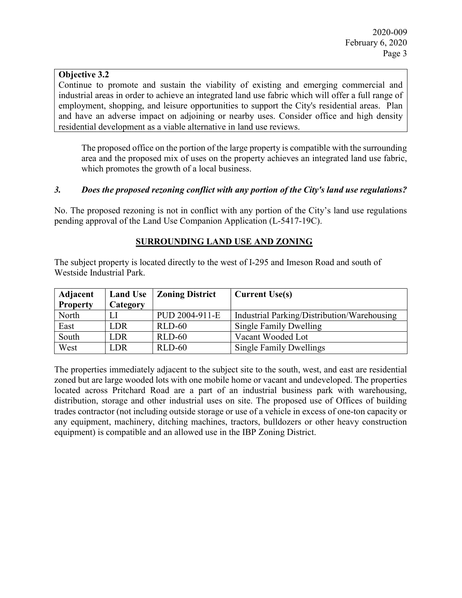### Objective 3.2

Continue to promote and sustain the viability of existing and emerging commercial and industrial areas in order to achieve an integrated land use fabric which will offer a full range of employment, shopping, and leisure opportunities to support the City's residential areas. Plan and have an adverse impact on adjoining or nearby uses. Consider office and high density residential development as a viable alternative in land use reviews.

 The proposed office on the portion of the large property is compatible with the surrounding area and the proposed mix of uses on the property achieves an integrated land use fabric, which promotes the growth of a local business.

#### 3. Does the proposed rezoning conflict with any portion of the City's land use regulations?

No. The proposed rezoning is not in conflict with any portion of the City's land use regulations pending approval of the Land Use Companion Application (L-5417-19C).

#### SURROUNDING LAND USE AND ZONING

The subject property is located directly to the west of I-295 and Imeson Road and south of Westside Industrial Park.

| Adjacent        | <b>Land Use</b> | Zoning District | <b>Current Use(s)</b>                       |
|-----------------|-----------------|-----------------|---------------------------------------------|
| <b>Property</b> | Category        |                 |                                             |
| North           |                 | PUD 2004-911-E  | Industrial Parking/Distribution/Warehousing |
| East            | <b>LDR</b>      | $RLD-60$        | Single Family Dwelling                      |
| South           | <b>LDR</b>      | $RLD-60$        | Vacant Wooded Lot                           |
| West            | LDR             | $RLD-60$        | <b>Single Family Dwellings</b>              |

The properties immediately adjacent to the subject site to the south, west, and east are residential zoned but are large wooded lots with one mobile home or vacant and undeveloped. The properties located across Pritchard Road are a part of an industrial business park with warehousing, distribution, storage and other industrial uses on site. The proposed use of Offices of building trades contractor (not including outside storage or use of a vehicle in excess of one-ton capacity or any equipment, machinery, ditching machines, tractors, bulldozers or other heavy construction equipment) is compatible and an allowed use in the IBP Zoning District.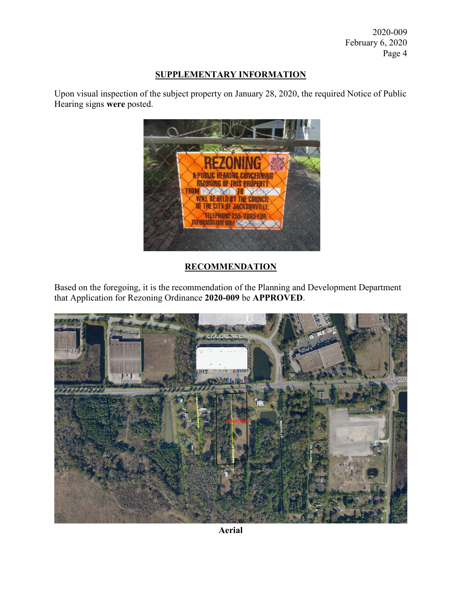2020-009 February 6, 2020 Page 4

## SUPPLEMENTARY INFORMATION

Upon visual inspection of the subject property on January 28, 2020, the required Notice of Public Hearing signs were posted.



# **RECOMMENDATION**

Based on the foregoing, it is the recommendation of the Planning and Development Department that Application for Rezoning Ordinance 2020-009 be APPROVED.



Aerial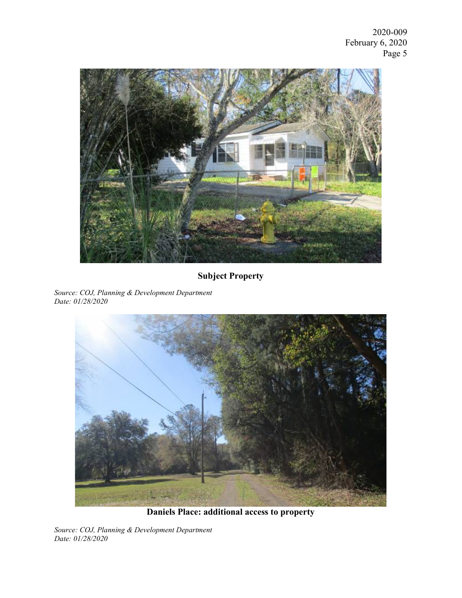2020-009 February 6, 2020 Page 5



# Subject Property

Source: COJ, Planning & Development Department Date: 01/28/2020



Daniels Place: additional access to property

Source: COJ, Planning & Development Department Date: 01/28/2020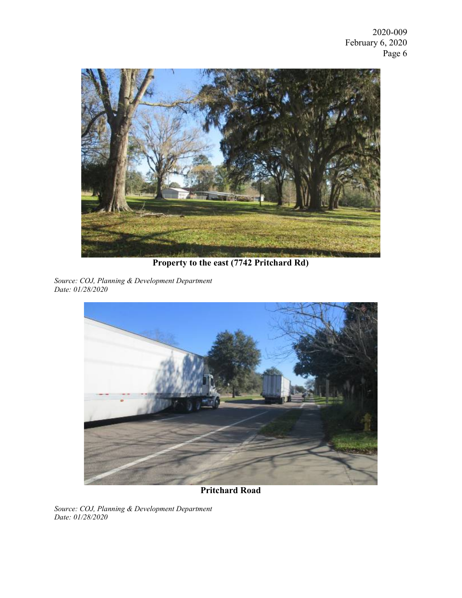

Property to the east (7742 Pritchard Rd)

Source: COJ, Planning & Development Department Date: 01/28/2020



Pritchard Road

Source: COJ, Planning & Development Department Date: 01/28/2020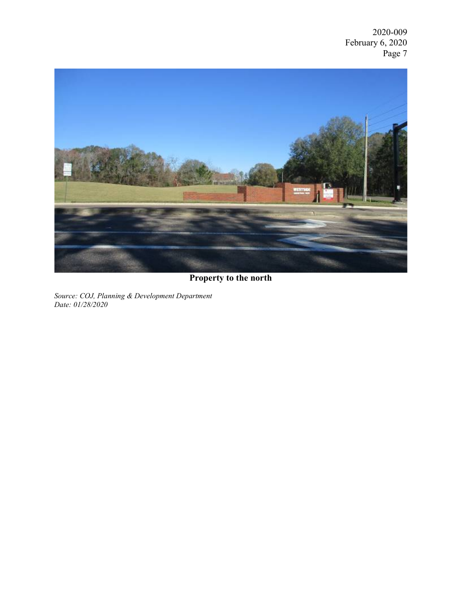2020-009 February 6, 2020 Page 7



# Property to the north

Source: COJ, Planning & Development Department Date: 01/28/2020